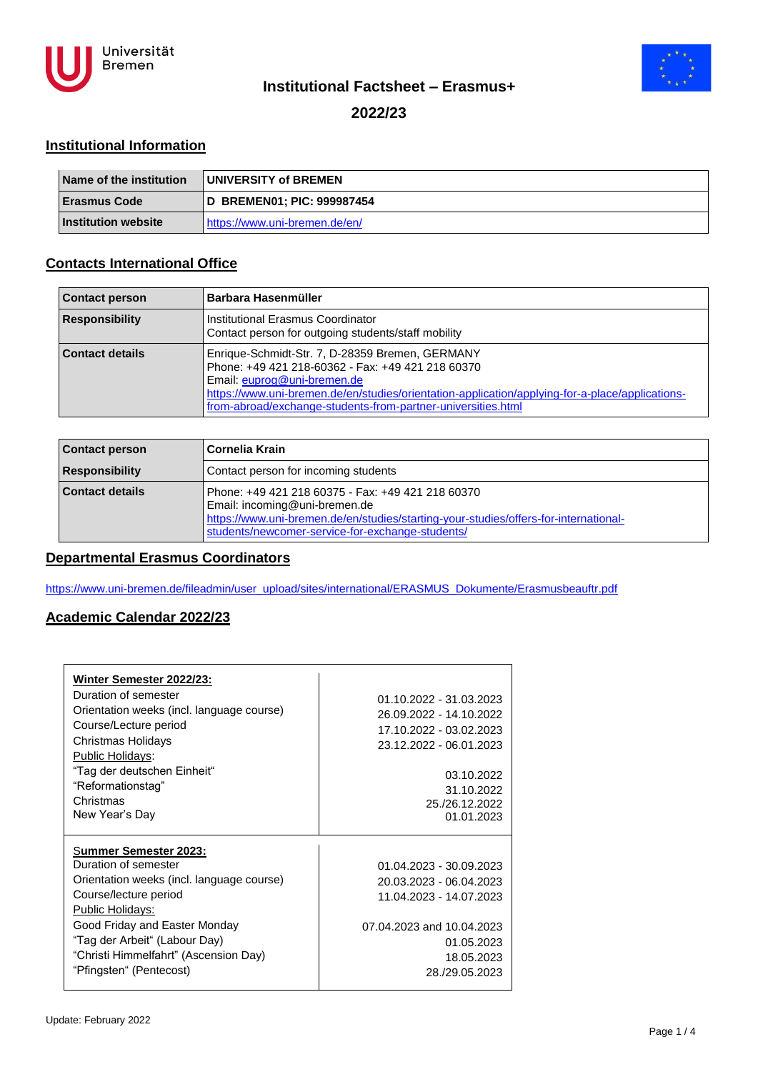



## **Institutional Factsheet – Erasmus+**

### **2022/23**

#### **Institutional Information**

| <b>Name of the institution</b> | <b>UNIVERSITY of BREMEN</b>   |
|--------------------------------|-------------------------------|
| <b>Erasmus Code</b>            | D BREMEN01; PIC: 999987454    |
| <b>Institution website</b>     | https://www.uni-bremen.de/en/ |

## **Contacts International Office**

| <b>Contact person</b> | Barbara Hasenmüller                                                                                                                                                                                                                                                                                    |
|-----------------------|--------------------------------------------------------------------------------------------------------------------------------------------------------------------------------------------------------------------------------------------------------------------------------------------------------|
| <b>Responsibility</b> | Institutional Erasmus Coordinator<br>Contact person for outgoing students/staff mobility                                                                                                                                                                                                               |
| Contact details       | Enrique-Schmidt-Str. 7, D-28359 Bremen, GERMANY<br>Phone: +49 421 218-60362 - Fax: +49 421 218 60370<br>Email: euprog@uni-bremen.de<br>https://www.uni-bremen.de/en/studies/orientation-application/applying-for-a-place/applications-<br>from-abroad/exchange-students-from-partner-universities.html |

| <b>Contact person</b>  | Cornelia Krain                                                                                                                                                                                                                 |
|------------------------|--------------------------------------------------------------------------------------------------------------------------------------------------------------------------------------------------------------------------------|
| <b>Responsibility</b>  | Contact person for incoming students                                                                                                                                                                                           |
| <b>Contact details</b> | Phone: +49 421 218 60375 - Fax: +49 421 218 60370<br>Email: incoming@uni-bremen.de<br>https://www.uni-bremen.de/en/studies/starting-your-studies/offers-for-international-<br>students/newcomer-service-for-exchange-students/ |

#### **Departmental Erasmus Coordinators**

[https://www.uni-bremen.de/fileadmin/user\\_upload/sites/international/ERASMUS\\_Dokumente/Erasmusbeauftr.pdf](https://www.uni-bremen.de/fileadmin/user_upload/sites/international/ERASMUS_Dokumente/Erasmusbeauftr.pdf)

#### **Academic Calendar 2022/23**

| Winter Semester 2022/23:<br>Duration of semester<br>Orientation weeks (incl. language course)<br>Course/Lecture period<br>Christmas Holidays<br>Public Holidays:<br>"Tag der deutschen Einheit"<br>"Reformationstag"<br>Christmas<br>New Year's Day                           | 01.10.2022 - 31.03.2023<br>26.09.2022 - 14.10.2022<br>17 10 2022 - 03 02 2023<br>23.12.2022 - 06.01.2023<br>03.10.2022<br>31.10.2022<br>25./26.12.2022<br>01.01.2023 |
|-------------------------------------------------------------------------------------------------------------------------------------------------------------------------------------------------------------------------------------------------------------------------------|----------------------------------------------------------------------------------------------------------------------------------------------------------------------|
| Summer Semester 2023:<br>Duration of semester<br>Orientation weeks (incl. language course)<br>Course/lecture period<br>Public Holidays:<br>Good Friday and Easter Monday<br>"Tag der Arbeit" (Labour Day)<br>"Christi Himmelfahrt" (Ascension Day)<br>"Pfingsten" (Pentecost) | 01.04.2023 - 30.09.2023<br>20.03.2023 - 06.04.2023<br>11.04.2023 - 14.07.2023<br>07.04.2023 and 10.04.2023<br>01.05.2023<br>18.05.2023<br>28./29.05.2023             |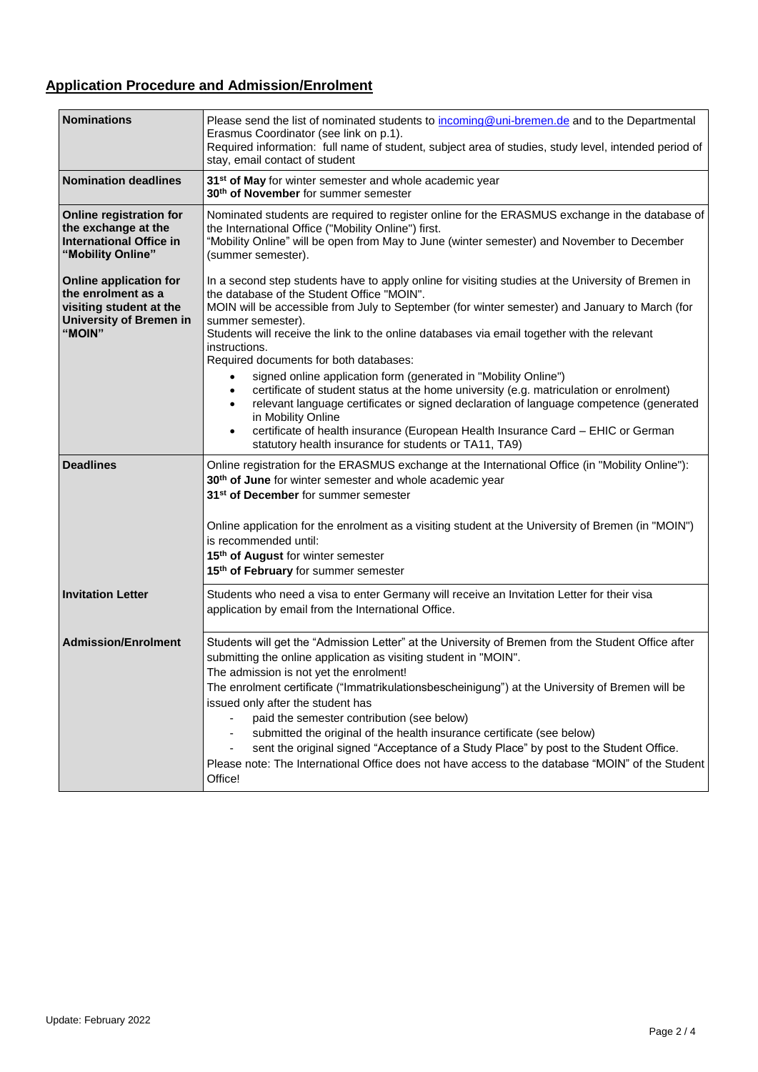# **Application Procedure and Admission/Enrolment**

| <b>Nominations</b>                                                                                                         | Please send the list of nominated students to incoming@uni-bremen.de and to the Departmental<br>Erasmus Coordinator (see link on p.1).<br>Required information: full name of student, subject area of studies, study level, intended period of<br>stay, email contact of student                                                                                                                                                                                                                                                                                                                                                                                                                                                                                                                                                                                                                   |
|----------------------------------------------------------------------------------------------------------------------------|----------------------------------------------------------------------------------------------------------------------------------------------------------------------------------------------------------------------------------------------------------------------------------------------------------------------------------------------------------------------------------------------------------------------------------------------------------------------------------------------------------------------------------------------------------------------------------------------------------------------------------------------------------------------------------------------------------------------------------------------------------------------------------------------------------------------------------------------------------------------------------------------------|
| <b>Nomination deadlines</b>                                                                                                | 31 <sup>st</sup> of May for winter semester and whole academic year<br>30 <sup>th</sup> of November for summer semester                                                                                                                                                                                                                                                                                                                                                                                                                                                                                                                                                                                                                                                                                                                                                                            |
| Online registration for<br>the exchange at the<br><b>International Office in</b><br>"Mobility Online"                      | Nominated students are required to register online for the ERASMUS exchange in the database of<br>the International Office ("Mobility Online") first.<br>"Mobility Online" will be open from May to June (winter semester) and November to December<br>(summer semester).                                                                                                                                                                                                                                                                                                                                                                                                                                                                                                                                                                                                                          |
| <b>Online application for</b><br>the enrolment as a<br>visiting student at the<br><b>University of Bremen in</b><br>"MOIN" | In a second step students have to apply online for visiting studies at the University of Bremen in<br>the database of the Student Office "MOIN".<br>MOIN will be accessible from July to September (for winter semester) and January to March (for<br>summer semester).<br>Students will receive the link to the online databases via email together with the relevant<br>instructions.<br>Required documents for both databases:<br>signed online application form (generated in "Mobility Online")<br>certificate of student status at the home university (e.g. matriculation or enrolment)<br>$\bullet$<br>relevant language certificates or signed declaration of language competence (generated<br>$\bullet$<br>in Mobility Online<br>certificate of health insurance (European Health Insurance Card - EHIC or German<br>$\bullet$<br>statutory health insurance for students or TA11, TA9) |
| <b>Deadlines</b>                                                                                                           | Online registration for the ERASMUS exchange at the International Office (in "Mobility Online"):<br>30 <sup>th</sup> of June for winter semester and whole academic year<br>31 <sup>st</sup> of December for summer semester<br>Online application for the enrolment as a visiting student at the University of Bremen (in "MOIN")<br>is recommended until:<br>15th of August for winter semester<br>15 <sup>th</sup> of February for summer semester                                                                                                                                                                                                                                                                                                                                                                                                                                              |
| <b>Invitation Letter</b>                                                                                                   | Students who need a visa to enter Germany will receive an Invitation Letter for their visa<br>application by email from the International Office.                                                                                                                                                                                                                                                                                                                                                                                                                                                                                                                                                                                                                                                                                                                                                  |
| <b>Admission/Enrolment</b>                                                                                                 | Students will get the "Admission Letter" at the University of Bremen from the Student Office after<br>submitting the online application as visiting student in "MOIN".<br>The admission is not yet the enrolment!<br>The enrolment certificate ("Immatrikulationsbescheinigung") at the University of Bremen will be<br>issued only after the student has<br>paid the semester contribution (see below)<br>submitted the original of the health insurance certificate (see below)<br>sent the original signed "Acceptance of a Study Place" by post to the Student Office.<br>Please note: The International Office does not have access to the database "MOIN" of the Student<br>Office!                                                                                                                                                                                                          |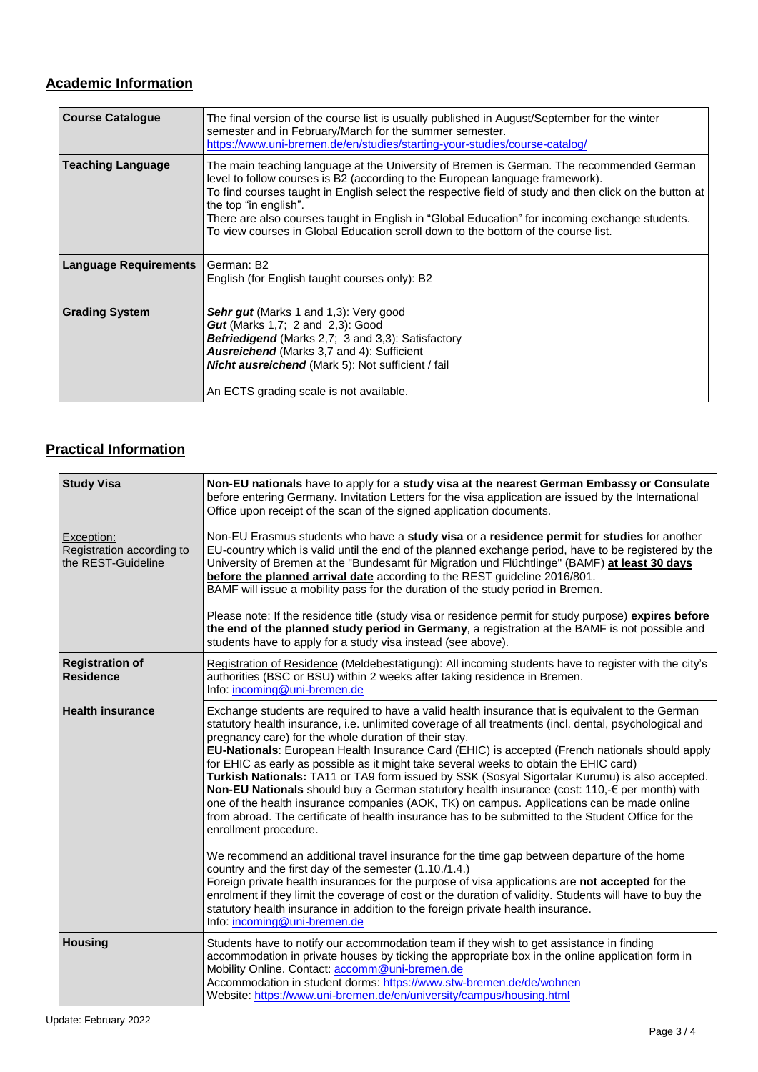## **Academic Information**

| <b>Course Catalogue</b>      | The final version of the course list is usually published in August/September for the winter<br>semester and in February/March for the summer semester.<br>https://www.uni-bremen.de/en/studies/starting-your-studies/course-catalog/                                                                                                                                                                                                                                                               |
|------------------------------|-----------------------------------------------------------------------------------------------------------------------------------------------------------------------------------------------------------------------------------------------------------------------------------------------------------------------------------------------------------------------------------------------------------------------------------------------------------------------------------------------------|
| <b>Teaching Language</b>     | The main teaching language at the University of Bremen is German. The recommended German<br>level to follow courses is B2 (according to the European language framework).<br>To find courses taught in English select the respective field of study and then click on the button at<br>the top "in english".<br>There are also courses taught in English in "Global Education" for incoming exchange students.<br>To view courses in Global Education scroll down to the bottom of the course list. |
| <b>Language Requirements</b> | German: B2<br>English (for English taught courses only): B2                                                                                                                                                                                                                                                                                                                                                                                                                                         |
| <b>Grading System</b>        | <b>Sehr gut</b> (Marks 1 and 1,3): Very good<br><b>Gut</b> (Marks 1,7; 2 and 2,3): Good<br>Befriedigend (Marks 2,7; 3 and 3,3): Satisfactory<br><b>Ausreichend</b> (Marks 3,7 and 4): Sufficient<br><b>Nicht ausreichend</b> (Mark 5): Not sufficient / fail<br>An ECTS grading scale is not available.                                                                                                                                                                                             |

## **Practical Information**

| <b>Study Visa</b>                                             | Non-EU nationals have to apply for a study visa at the nearest German Embassy or Consulate<br>before entering Germany. Invitation Letters for the visa application are issued by the International<br>Office upon receipt of the scan of the signed application documents.                                                                                                                                                                                                                                                                                                                                                                                                                                                                                                                                                                                                                     |
|---------------------------------------------------------------|------------------------------------------------------------------------------------------------------------------------------------------------------------------------------------------------------------------------------------------------------------------------------------------------------------------------------------------------------------------------------------------------------------------------------------------------------------------------------------------------------------------------------------------------------------------------------------------------------------------------------------------------------------------------------------------------------------------------------------------------------------------------------------------------------------------------------------------------------------------------------------------------|
| Exception:<br>Registration according to<br>the REST-Guideline | Non-EU Erasmus students who have a study visa or a residence permit for studies for another<br>EU-country which is valid until the end of the planned exchange period, have to be registered by the<br>University of Bremen at the "Bundesamt für Migration und Flüchtlinge" (BAMF) at least 30 days<br>before the planned arrival date according to the REST guideline 2016/801.<br>BAMF will issue a mobility pass for the duration of the study period in Bremen.                                                                                                                                                                                                                                                                                                                                                                                                                           |
|                                                               | Please note: If the residence title (study visa or residence permit for study purpose) expires before<br>the end of the planned study period in Germany, a registration at the BAMF is not possible and<br>students have to apply for a study visa instead (see above).                                                                                                                                                                                                                                                                                                                                                                                                                                                                                                                                                                                                                        |
| <b>Registration of</b><br><b>Residence</b>                    | Registration of Residence (Meldebestätigung): All incoming students have to register with the city's<br>authorities (BSC or BSU) within 2 weeks after taking residence in Bremen.<br>Info: incoming@uni-bremen.de                                                                                                                                                                                                                                                                                                                                                                                                                                                                                                                                                                                                                                                                              |
| <b>Health insurance</b>                                       | Exchange students are required to have a valid health insurance that is equivalent to the German<br>statutory health insurance, i.e. unlimited coverage of all treatments (incl. dental, psychological and<br>pregnancy care) for the whole duration of their stay.<br>EU-Nationals: European Health Insurance Card (EHIC) is accepted (French nationals should apply<br>for EHIC as early as possible as it might take several weeks to obtain the EHIC card)<br>Turkish Nationals: TA11 or TA9 form issued by SSK (Sosyal Sigortalar Kurumu) is also accepted.<br>Non-EU Nationals should buy a German statutory health insurance (cost: 110, € per month) with<br>one of the health insurance companies (AOK, TK) on campus. Applications can be made online<br>from abroad. The certificate of health insurance has to be submitted to the Student Office for the<br>enrollment procedure. |
|                                                               | We recommend an additional travel insurance for the time gap between departure of the home<br>country and the first day of the semester (1.10./1.4.)<br>Foreign private health insurances for the purpose of visa applications are not accepted for the<br>enrolment if they limit the coverage of cost or the duration of validity. Students will have to buy the<br>statutory health insurance in addition to the foreign private health insurance.<br>Info: incoming@uni-bremen.de                                                                                                                                                                                                                                                                                                                                                                                                          |
| <b>Housing</b>                                                | Students have to notify our accommodation team if they wish to get assistance in finding<br>accommodation in private houses by ticking the appropriate box in the online application form in<br>Mobility Online. Contact: accomm@uni-bremen.de<br>Accommodation in student dorms: https://www.stw-bremen.de/de/wohnen<br>Website: https://www.uni-bremen.de/en/university/campus/housing.html                                                                                                                                                                                                                                                                                                                                                                                                                                                                                                  |